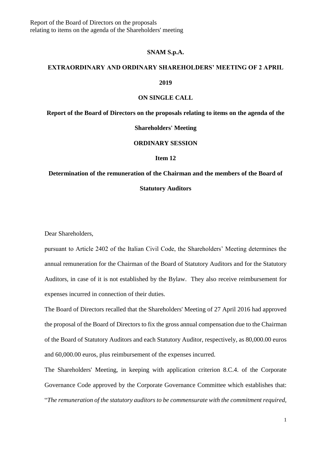#### **SNAM S.p.A.**

# **EXTRAORDINARY AND ORDINARY SHAREHOLDERS' MEETING OF 2 APRIL**

**2019** 

## **ON SINGLE CALL**

**Report of the Board of Directors on the proposals relating to items on the agenda of the** 

### **Shareholders' Meeting**

# **ORDINARY SESSION**

# **Item 12**

# **Determination of the remuneration of the Chairman and the members of the Board of Statutory Auditors**

Dear Shareholders,

pursuant to Article 2402 of the Italian Civil Code, the Shareholders' Meeting determines the annual remuneration for the Chairman of the Board of Statutory Auditors and for the Statutory Auditors, in case of it is not established by the Bylaw. They also receive reimbursement for expenses incurred in connection of their duties.

The Board of Directors recalled that the Shareholders' Meeting of 27 April 2016 had approved the proposal of the Board of Directors to fix the gross annual compensation due to the Chairman of the Board of Statutory Auditors and each Statutory Auditor, respectively, as 80,000.00 euros and 60,000.00 euros, plus reimbursement of the expenses incurred.

The Shareholders' Meeting, in keeping with application criterion 8.C.4. of the Corporate Governance Code approved by the Corporate Governance Committee which establishes that: "*The remuneration of the statutory auditors to be commensurate with the commitment required,*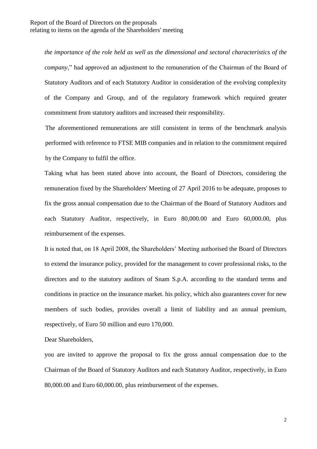*the importance of the role held as well as the dimensional and sectoral characteristics of the company*," had approved an adjustment to the remuneration of the Chairman of the Board of Statutory Auditors and of each Statutory Auditor in consideration of the evolving complexity of the Company and Group, and of the regulatory framework which required greater commitment from statutory auditors and increased their responsibility.

The aforementioned remunerations are still consistent in terms of the benchmark analysis performed with reference to FTSE MIB companies and in relation to the commitment required by the Company to fulfil the office.

Taking what has been stated above into account, the Board of Directors, considering the remuneration fixed by the Shareholders' Meeting of 27 April 2016 to be adequate, proposes to fix the gross annual compensation due to the Chairman of the Board of Statutory Auditors and each Statutory Auditor, respectively, in Euro 80,000.00 and Euro 60,000.00, plus reimbursement of the expenses.

It is noted that, on 18 April 2008, the Shareholders' Meeting authorised the Board of Directors to extend the insurance policy, provided for the management to cover professional risks, to the directors and to the statutory auditors of Snam S.p.A. according to the standard terms and conditions in practice on the insurance market. his policy, which also guarantees cover for new members of such bodies, provides overall a limit of liability and an annual premium, respectively, of Euro 50 million and euro 170,000.

Dear Shareholders,

you are invited to approve the proposal to fix the gross annual compensation due to the Chairman of the Board of Statutory Auditors and each Statutory Auditor, respectively, in Euro 80,000.00 and Euro 60,000.00, plus reimbursement of the expenses.

2